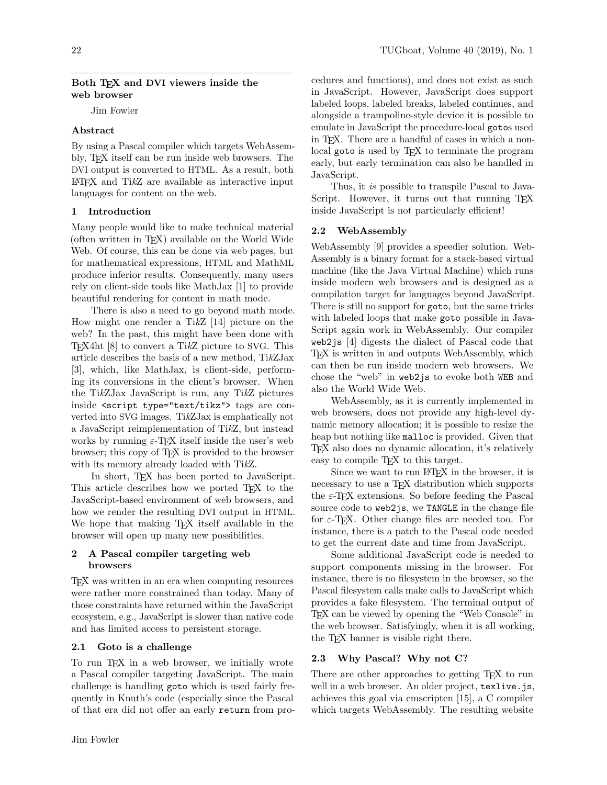### Both TFX and DVI viewers inside the web browser

Jim Fowler

# Abstract

By using a Pascal compiler which targets WebAssembly, TEX itself can be run inside web browsers. The DVI output is converted to HTML. As a result, both  $\Delta E$ F<sub>F</sub>X and TikZ are available as interactive input languages for content on the web.

# 1 Introduction

Many people would like to make technical material (often written in TEX) available on the World Wide Web. Of course, this can be done via web pages, but for mathematical expressions, HTML and MathML produce inferior results. Consequently, many users rely on client-side tools like MathJax [\[1\]](#page-2-0) to provide beautiful rendering for content in math mode.

There is also a need to go beyond math mode. How might one render a TikZ [\[14\]](#page-2-1) picture on the web? In the past, this might have been done with TEX4ht [\[8\]](#page-2-2) to convert a TikZ picture to SVG. This article describes the basis of a new method, TikZJax [\[3\]](#page-2-3), which, like MathJax, is client-side, performing its conversions in the client's browser. When the TikZJax JavaScript is run, any TikZ pictures inside <script type="text/tikz"> tags are converted into SVG images. TikZJax is emphatically not a JavaScript reimplementation of TikZ, but instead works by running  $\varepsilon$ -T<sub>E</sub>X itself inside the user's web browser; this copy of TEX is provided to the browser with its memory already loaded with TikZ.

In short, TEX has been ported to JavaScript. This article describes how we ported T<sub>E</sub>X to the JavaScript-based environment of web browsers, and how we render the resulting DVI output in HTML. We hope that making TEX itself available in the browser will open up many new possibilities.

# 2 A Pascal compiler targeting web browsers

TEX was written in an era when computing resources were rather more constrained than today. Many of those constraints have returned within the JavaScript ecosystem, e.g., JavaScript is slower than native code and has limited access to persistent storage.

# 2.1 Goto is a challenge

To run TEX in a web browser, we initially wrote a Pascal compiler targeting JavaScript. The main challenge is handling goto which is used fairly frequently in Knuth's code (especially since the Pascal of that era did not offer an early return from pro-

cedures and functions), and does not exist as such in JavaScript. However, JavaScript does support labeled loops, labeled breaks, labeled continues, and alongside a trampoline-style device it is possible to emulate in JavaScript the procedure-local gotos used in TEX. There are a handful of cases in which a nonlocal goto is used by T<sub>F</sub>X to terminate the program early, but early termination can also be handled in JavaScript.

Thus, it is possible to transpile Pascal to Java-Script. However, it turns out that running T<sub>F</sub>X inside JavaScript is not particularly efficient!

# 2.2 WebAssembly

WebAssembly [\[9\]](#page-2-4) provides a speedier solution. Web-Assembly is a binary format for a stack-based virtual machine (like the Java Virtual Machine) which runs inside modern web browsers and is designed as a compilation target for languages beyond JavaScript. There is still no support for goto, but the same tricks with labeled loops that make goto possible in Java-Script again work in WebAssembly. Our compiler web2js [\[4\]](#page-2-5) digests the dialect of Pascal code that TEX is written in and outputs WebAssembly, which can then be run inside modern web browsers. We chose the "web" in web2js to evoke both WEB and also the World Wide Web.

WebAssembly, as it is currently implemented in web browsers, does not provide any high-level dynamic memory allocation; it is possible to resize the heap but nothing like malloc is provided. Given that TEX also does no dynamic allocation, it's relatively easy to compile T<sub>EX</sub> to this target.

Since we want to run LAT<sub>F</sub>X in the browser, it is necessary to use a T<sub>E</sub>X distribution which supports the  $\varepsilon$ -TEX extensions. So before feeding the Pascal source code to web2js, we TANGLE in the change file for  $\varepsilon$ -T<sub>F</sub>X. Other change files are needed too. For instance, there is a patch to the Pascal code needed to get the current date and time from JavaScript.

Some additional JavaScript code is needed to support components missing in the browser. For instance, there is no filesystem in the browser, so the Pascal filesystem calls make calls to JavaScript which provides a fake filesystem. The terminal output of TEX can be viewed by opening the "Web Console" in the web browser. Satisfyingly, when it is all working, the TEX banner is visible right there.

# 2.3 Why Pascal? Why not C?

There are other approaches to getting T<sub>EX</sub> to run well in a web browser. An older project, texlive.js, achieves this goal via emscripten [\[15\]](#page-2-6), a C compiler which targets WebAssembly. The resulting website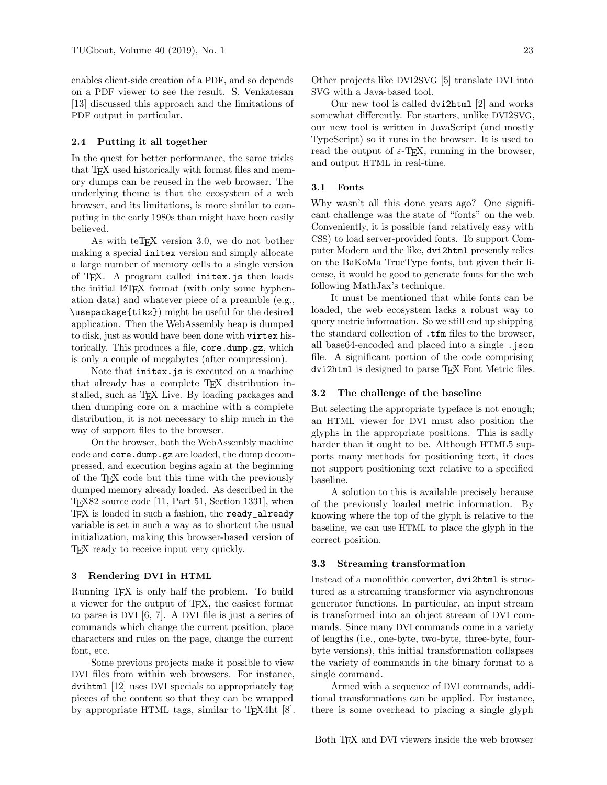enables client-side creation of a PDF, and so depends on a PDF viewer to see the result. S. Venkatesan [\[13\]](#page-2-7) discussed this approach and the limitations of PDF output in particular.

### 2.4 Putting it all together

In the quest for better performance, the same tricks that TEX used historically with format files and memory dumps can be reused in the web browser. The underlying theme is that the ecosystem of a web browser, and its limitations, is more similar to computing in the early 1980s than might have been easily believed.

As with teT<sub>EX</sub> version 3.0, we do not bother making a special initex version and simply allocate a large number of memory cells to a single version of TEX. A program called initex.js then loads the initial LATEX format (with only some hyphenation data) and whatever piece of a preamble (e.g., \usepackage{tikz}) might be useful for the desired application. Then the WebAssembly heap is dumped to disk, just as would have been done with virtex historically. This produces a file, core.dump.gz, which is only a couple of megabytes (after compression).

Note that initex.js is executed on a machine that already has a complete T<sub>EX</sub> distribution installed, such as T<sub>F</sub>X Live. By loading packages and then dumping core on a machine with a complete distribution, it is not necessary to ship much in the way of support files to the browser.

On the browser, both the WebAssembly machine code and core.dump.gz are loaded, the dump decompressed, and execution begins again at the beginning of the TEX code but this time with the previously dumped memory already loaded. As described in the TEX82 source code [\[11,](#page-2-8) Part 51, Section 1331], when TEX is loaded in such a fashion, the ready\_already variable is set in such a way as to shortcut the usual initialization, making this browser-based version of TEX ready to receive input very quickly.

### 3 Rendering DVI in HTML

Running TEX is only half the problem. To build a viewer for the output of TEX, the easiest format to parse is DVI [\[6,](#page-2-9) [7\]](#page-2-10). A DVI file is just a series of commands which change the current position, place characters and rules on the page, change the current font, etc.

Some previous projects make it possible to view DVI files from within web browsers. For instance, dvihtml [\[12\]](#page-2-11) uses DVI specials to appropriately tag pieces of the content so that they can be wrapped by appropriate HTML tags, similar to TEX4ht [\[8\]](#page-2-2). Other projects like DVI2SVG [\[5\]](#page-2-12) translate DVI into SVG with a Java-based tool.

Our new tool is called dvi2html [\[2\]](#page-2-13) and works somewhat differently. For starters, unlike DVI2SVG, our new tool is written in JavaScript (and mostly TypeScript) so it runs in the browser. It is used to read the output of  $\varepsilon$ -T<sub>EX</sub>, running in the browser, and output HTML in real-time.

#### 3.1 Fonts

Why wasn't all this done years ago? One significant challenge was the state of "fonts" on the web. Conveniently, it is possible (and relatively easy with CSS) to load server-provided fonts. To support Computer Modern and the like, dvi2html presently relies on the BaKoMa TrueType fonts, but given their license, it would be good to generate fonts for the web following MathJax's technique.

It must be mentioned that while fonts can be loaded, the web ecosystem lacks a robust way to query metric information. So we still end up shipping the standard collection of .tfm files to the browser, all base64-encoded and placed into a single .json file. A significant portion of the code comprising dvi2html is designed to parse TFX Font Metric files.

#### 3.2 The challenge of the baseline

But selecting the appropriate typeface is not enough; an HTML viewer for DVI must also position the glyphs in the appropriate positions. This is sadly harder than it ought to be. Although HTML5 supports many methods for positioning text, it does not support positioning text relative to a specified baseline.

A solution to this is available precisely because of the previously loaded metric information. By knowing where the top of the glyph is relative to the baseline, we can use HTML to place the glyph in the correct position.

#### 3.3 Streaming transformation

Instead of a monolithic converter, dvi2html is structured as a streaming transformer via asynchronous generator functions. In particular, an input stream is transformed into an object stream of DVI commands. Since many DVI commands come in a variety of lengths (i.e., one-byte, two-byte, three-byte, fourbyte versions), this initial transformation collapses the variety of commands in the binary format to a single command.

Armed with a sequence of DVI commands, additional transformations can be applied. For instance, there is some overhead to placing a single glyph